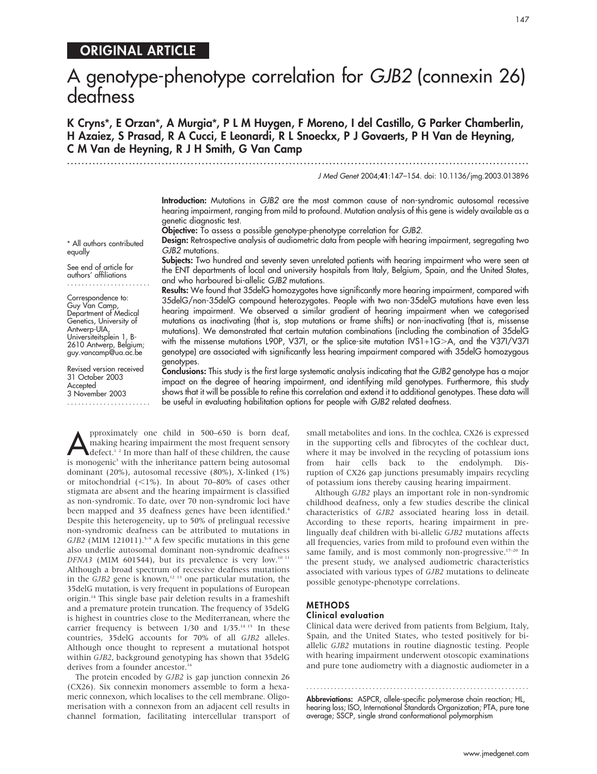# ORIGINAL ARTICLE

# A genotype-phenotype correlation for GJB2 (connexin 26) deafness

K Cryns\*, E Orzan\*, A Murgia\*, P L M Huygen, F Moreno, I del Castillo, G Parker Chamberlin, H Azaiez, S Prasad, R A Cucci, E Leonardi, R L Snoeckx, P J Govaerts, P H Van de Heyning, C M Van de Heyning, R J H Smith, G Van Camp

.............................................................................................................................. .

J Med Genet 2004;41:147–154. doi: 10.1136/jmg.2003.013896

Introduction: Mutations in GJB2 are the most common cause of non-syndromic autosomal recessive hearing impairment, ranging from mild to profound. Mutation analysis of this gene is widely available as a genetic diagnostic test.

Objective: To assess a possible genotype-phenotype correlation for GJB2.

Design: Retrospective analysis of audiometric data from people with hearing impairment, segregating two GJB2 mutations.

Subjects: Two hundred and seventy seven unrelated patients with hearing impairment who were seen at the ENT departments of local and university hospitals from Italy, Belgium, Spain, and the United States, and who harboured bi-allelic GJB2 mutations.

Results: We found that 35delG homozygotes have significantly more hearing impairment, compared with 35delG/non-35delG compound heterozygotes. People with two non-35delG mutations have even less hearing impairment. We observed a similar gradient of hearing impairment when we categorised mutations as inactivating (that is, stop mutations or frame shifts) or non-inactivating (that is, missense mutations). We demonstrated that certain mutation combinations (including the combination of 35delG with the missense mutations L90P, V37I, or the splice-site mutation IVS1+1G>A, and the V37I/V37I genotype) are associated with significantly less hearing impairment compared with 35delG homozygous genotypes.

Conclusions: This study is the first large systematic analysis indicating that the GJB2 genotype has a major impact on the degree of hearing impairment, and identifying mild genotypes. Furthermore, this study shows that it will be possible to refine this correlation and extend it to additional genotypes. These data will be useful in evaluating habilitation options for people with GJB2 related deafness.

pproximately one child in 500–650 is born deaf,<br>
making hearing impairment the most frequent sensory<br>
defect.<sup>1,2</sup> In more than half of these children, the cause making hearing impairment the most frequent sensory is monogenic<sup>3</sup> with the inheritance pattern being autosomal dominant (20%), autosomal recessive (80%), X-linked (1%) or mitochondrial  $(<1%)$ . In about 70–80% of cases other stigmata are absent and the hearing impairment is classified as non-syndromic. To date, over 70 non-syndromic loci have been mapped and 35 deafness genes have been identified.<sup>4</sup> Despite this heterogeneity, up to 50% of prelingual recessive non-syndromic deafness can be attributed to mutations in  $GJB2$  (MIM 121011).<sup>5-9</sup> A few specific mutations in this gene also underlie autosomal dominant non-syndromic deafness DFNA3 (MIM 601544), but its prevalence is very low.<sup>10 11</sup> Although a broad spectrum of recessive deafness mutations in the  $GJB2$  gene is known,<sup>12 13</sup> one particular mutation, the 35delG mutation, is very frequent in populations of European origin.14 This single base pair deletion results in a frameshift and a premature protein truncation. The frequency of 35delG is highest in countries close to the Mediterranean, where the carrier frequency is between 1/30 and 1/35.<sup>14 15</sup> In these countries, 35delG accounts for 70% of all GJB2 alleles. Although once thought to represent a mutational hotspot within GJB2, background genotyping has shown that 35delG derives from a founder ancestor.<sup>16</sup>

The protein encoded by GJB2 is gap junction connexin 26 (CX26). Six connexin monomers assemble to form a hexameric connexon, which localises to the cell membrane. Oligomerisation with a connexon from an adjacent cell results in channel formation, facilitating intercellular transport of small metabolites and ions. In the cochlea, CX26 is expressed in the supporting cells and fibrocytes of the cochlear duct, where it may be involved in the recycling of potassium ions from hair cells back to the endolymph. Disruption of CX26 gap junctions presumably impairs recycling of potassium ions thereby causing hearing impairment.

Although GJB2 plays an important role in non-syndromic childhood deafness, only a few studies describe the clinical characteristics of GJB2 associated hearing loss in detail. According to these reports, hearing impairment in prelingually deaf children with bi-allelic GJB2 mutations affects all frequencies, varies from mild to profound even within the same family, and is most commonly non-progressive. $17-20$  In the present study, we analysed audiometric characteristics associated with various types of GJB2 mutations to delineate possible genotype-phenotype correlations.

#### METHODS

### Clinical evaluation

Clinical data were derived from patients from Belgium, Italy, Spain, and the United States, who tested positively for biallelic GJB2 mutations in routine diagnostic testing. People with hearing impairment underwent otoscopic examinations and pure tone audiometry with a diagnostic audiometer in a

Abbreviations: ASPCR, allele-specific polymerase chain reaction; HL, hearing loss; ISO, International Standards Organization; PTA, pure tone average; SSCP, single strand conformational polymorphism

............................................................... .

\* All authors contributed equally See end of article for

authors' affiliations .......................

Correspondence to: Guy Van Camp, Department of Medical Genetics, University of Antwerp-UIA, Universiteitsplein 1, B-2610 Antwerp, Belgium; guy.vancamp@ua.ac.be

Revised version received 31 October 2003 Accepted 3 November 2003 .......................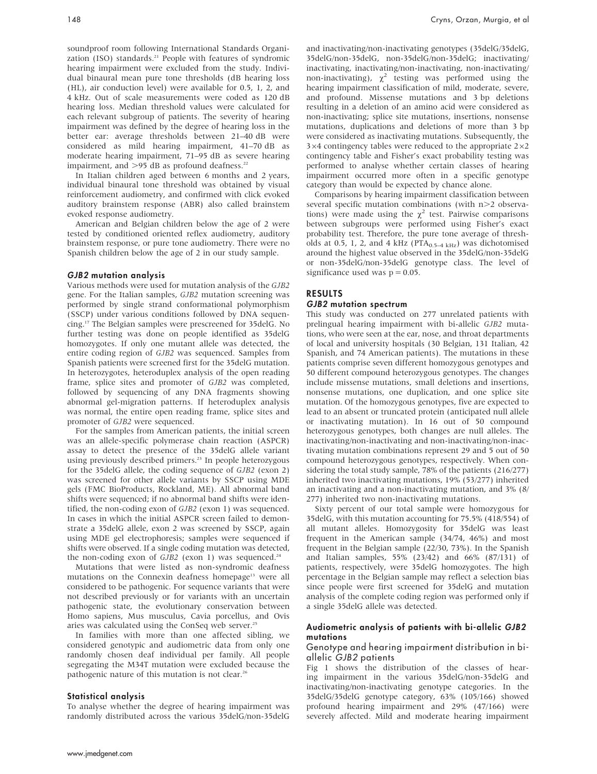soundproof room following International Standards Organization (ISO) standards.<sup>21</sup> People with features of syndromic hearing impairment were excluded from the study. Individual binaural mean pure tone thresholds (dB hearing loss (HL), air conduction level) were available for 0.5, 1, 2, and 4 kHz. Out of scale measurements were coded as 120 dB hearing loss. Median threshold values were calculated for each relevant subgroup of patients. The severity of hearing impairment was defined by the degree of hearing loss in the better ear: average thresholds between 21–40 dB were considered as mild hearing impairment, 41–70 dB as moderate hearing impairment, 71–95 dB as severe hearing impairment, and  $>95$  dB as profound deafness.<sup>22</sup>

In Italian children aged between 6 months and 2 years, individual binaural tone threshold was obtained by visual reinforcement audiometry, and confirmed with click evoked auditory brainstem response (ABR) also called brainstem evoked response audiometry.

American and Belgian children below the age of 2 were tested by conditioned oriented reflex audiometry, auditory brainstem response, or pure tone audiometry. There were no Spanish children below the age of 2 in our study sample.

#### GJB2 mutation analysis

Various methods were used for mutation analysis of the GJB2 gene. For the Italian samples, GJB2 mutation screening was performed by single strand conformational polymorphism (SSCP) under various conditions followed by DNA sequencing.17 The Belgian samples were prescreened for 35delG. No further testing was done on people identified as 35delG homozygotes. If only one mutant allele was detected, the entire coding region of GJB2 was sequenced. Samples from Spanish patients were screened first for the 35delG mutation. In heterozygotes, heteroduplex analysis of the open reading frame, splice sites and promoter of GJB2 was completed, followed by sequencing of any DNA fragments showing abnormal gel-migration patterns. If heteroduplex analysis was normal, the entire open reading frame, splice sites and promoter of GJB2 were sequenced.

For the samples from American patients, the initial screen was an allele-specific polymerase chain reaction (ASPCR) assay to detect the presence of the 35delG allele variant using previously described primers.<sup>23</sup> In people heterozygous for the 35delG allele, the coding sequence of GJB2 (exon 2) was screened for other allele variants by SSCP using MDE gels (FMC BioProducts, Rockland, ME). All abnormal band shifts were sequenced; if no abnormal band shifts were identified, the non-coding exon of GJB2 (exon 1) was sequenced. In cases in which the initial ASPCR screen failed to demonstrate a 35delG allele, exon 2 was screened by SSCP, again using MDE gel electrophoresis; samples were sequenced if shifts were observed. If a single coding mutation was detected, the non-coding exon of  $GJB2$  (exon 1) was sequenced.<sup>24</sup>

Mutations that were listed as non-syndromic deafness mutations on the Connexin deafness homepage<sup>13</sup> were all considered to be pathogenic. For sequence variants that were not described previously or for variants with an uncertain pathogenic state, the evolutionary conservation between Homo sapiens, Mus musculus, Cavia porcellus, and Ovis aries was calculated using the ConSeq web server.<sup>25</sup>

In families with more than one affected sibling, we considered genotypic and audiometric data from only one randomly chosen deaf individual per family. All people segregating the M34T mutation were excluded because the pathogenic nature of this mutation is not clear.<sup>26</sup>

#### Statistical analysis

To analyse whether the degree of hearing impairment was randomly distributed across the various 35delG/non-35delG and inactivating/non-inactivating genotypes (35delG/35delG, 35delG/non-35delG, non-35delG/non-35delG; inactivating/ inactivating, inactivating/non-inactivating, non-inactivating/ non-inactivating),  $\chi^2$  testing was performed using the hearing impairment classification of mild, moderate, severe, and profound. Missense mutations and 3 bp deletions resulting in a deletion of an amino acid were considered as non-inactivating; splice site mutations, insertions, nonsense mutations, duplications and deletions of more than 3 bp were considered as inactivating mutations. Subsequently, the  $3\times4$  contingency tables were reduced to the appropriate  $2\times2$ contingency table and Fisher's exact probability testing was performed to analyse whether certain classes of hearing impairment occurred more often in a specific genotype category than would be expected by chance alone.

Comparisons by hearing impairment classification between several specific mutation combinations (with  $n>2$  observations) were made using the  $\chi^2$  test. Pairwise comparisons between subgroups were performed using Fisher's exact probability test. Therefore, the pure tone average of thresholds at 0.5, 1, 2, and 4 kHz (PTA<sub>0.5–4 kHz</sub>) was dichotomised around the highest value observed in the 35delG/non-35delG or non-35delG/non-35delG genotype class. The level of significance used was  $p = 0.05$ .

## RESULTS

#### GJB2 mutation spectrum

This study was conducted on 277 unrelated patients with prelingual hearing impairment with bi-allelic GJB2 mutations, who were seen at the ear, nose, and throat departments of local and university hospitals (30 Belgian, 131 Italian, 42 Spanish, and 74 American patients). The mutations in these patients comprise seven different homozygous genotypes and 50 different compound heterozygous genotypes. The changes include missense mutations, small deletions and insertions, nonsense mutations, one duplication, and one splice site mutation. Of the homozygous genotypes, five are expected to lead to an absent or truncated protein (anticipated null allele or inactivating mutation). In 16 out of 50 compound heterozygous genotypes, both changes are null alleles. The inactivating/non-inactivating and non-inactivating/non-inactivating mutation combinations represent 29 and 5 out of 50 compound heterozygous genotypes, respectively. When considering the total study sample, 78% of the patients (216/277) inherited two inactivating mutations, 19% (53/277) inherited an inactivating and a non-inactivating mutation, and 3% (8/ 277) inherited two non-inactivating mutations.

Sixty percent of our total sample were homozygous for 35delG, with this mutation accounting for 75.5% (418/554) of all mutant alleles. Homozygosity for 35delG was least frequent in the American sample (34/74, 46%) and most frequent in the Belgian sample (22/30, 73%). In the Spanish and Italian samples, 55% (23/42) and 66% (87/131) of patients, respectively, were 35delG homozygotes. The high percentage in the Belgian sample may reflect a selection bias since people were first screened for 35delG and mutation analysis of the complete coding region was performed only if a single 35delG allele was detected.

#### Audiometric analysis of patients with bi-allelic GJB2 mutations

#### Genotype and hearing impairment distribution in biallelic GJB2 patients

Fig 1 shows the distribution of the classes of hearing impairment in the various 35delG/non-35delG and inactivating/non-inactivating genotype categories. In the 35delG/35delG genotype category, 63% (105/166) showed profound hearing impairment and 29% (47/166) were severely affected. Mild and moderate hearing impairment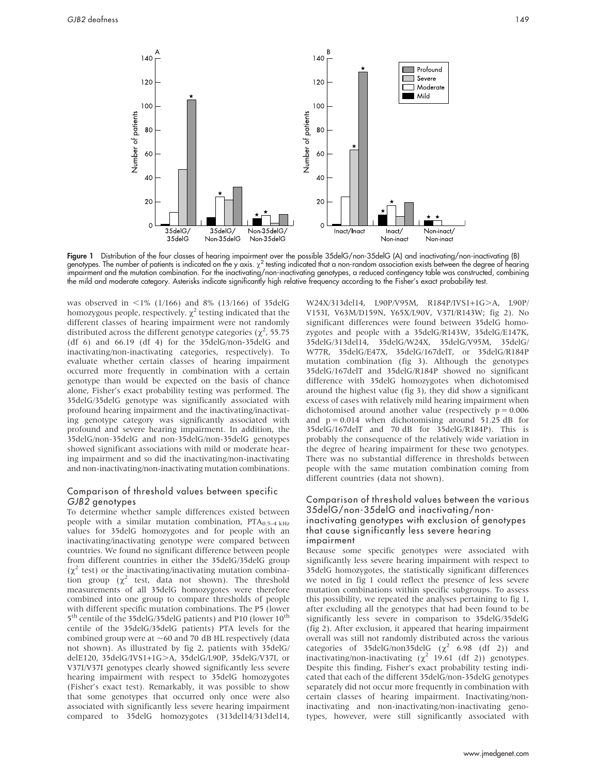

Figure 1 Distribution of the four classes of hearing impairment over the possible 35delG/non-35delG (A) and inactivating/non-inactivating (B) genotypes. The number of patients is indicated on the y axis.  $\chi^2$  testing indicated that a non-random association exists between the degree of hearing impairment and the mutation combination. For the inactivating/non-inactivating genotypes, a reduced contingency table was constructed, combining the mild and moderate category. Asterisks indicate significantly high relative frequency according to the Fisher's exact probability test.

was observed in  $\langle 1/166 \rangle$  and 8% (13/166) of 35delG homozygous people, respectively.  $\gamma^2$  testing indicated that the different classes of hearing impairment were not randomly distributed across the different genotype categories ( $\chi^2$ , 55.75 (df 6) and 66.19 (df 4) for the 35delG/non-35delG and inactivating/non-inactivating categories, respectively). To evaluate whether certain classes of hearing impairment occurred more frequently in combination with a certain genotype than would be expected on the basis of chance alone, Fisher's exact probability testing was performed. The 35delG/35delG genotype was significantly associated with profound hearing impairment and the inactivating/inactivating genotype category was significantly associated with profound and severe hearing impairment. In addition, the 35delG/non-35delG and non-35delG/non-35delG genotypes showed significant associations with mild or moderate hearing impairment and so did the inactivating/non-inactivating and non-inactivating/non-inactivating mutation combinations.

#### Comparison of threshold values between specific GJB2 genotypes

To determine whether sample differences existed between people with a similar mutation combination,  $PTA_{0.5-4 \text{ kHz}}$ values for 35delG homozygotes and for people with an inactivating/inactivating genotype were compared between countries. We found no significant difference between people from different countries in either the 35delG/35delG group  $(\chi^2 \text{ test})$  or the inactivating/inactivating mutation combination group  $(\chi^2$  test, data not shown). The threshold measurements of all 35delG homozygotes were therefore combined into one group to compare thresholds of people with different specific mutation combinations. The P5 (lower 5<sup>th</sup> centile of the 35delG/35delG patients) and P10 (lower 10<sup>th</sup> centile of the 35delG/35delG patients) PTA levels for the combined group were at  $\sim$  60 and 70 dB HL respectively (data not shown). As illustrated by fig 2, patients with 35delG/ delE120, 35delG/IVS1+1G.A, 35delG/L90P, 35delG/V37I, or V37I/V37I genotypes clearly showed significantly less severe hearing impairment with respect to 35delG homozygotes (Fisher's exact test). Remarkably, it was possible to show that some genotypes that occurred only once were also associated with significantly less severe hearing impairment compared to 35delG homozygotes (313del14/313del14,

W24X/313del14, L90P/V95M, R184P/IVS1+1G>A, L90P/ V153I, V63M/D159N, Y65X/L90V, V37I/R143W; fig 2). No significant differences were found between 35delG homozygotes and people with a 35delG/R143W, 35delG/E147K, 35delG/313del14, 35delG/W24X, 35delG/V95M, 35delG/ W77R, 35delG/E47X, 35delG/167delT, or 35delG/R184P mutation combination (fig 3). Although the genotypes 35delG/167delT and 35delG/R184P showed no significant difference with 35delG homozygotes when dichotomised around the highest value (fig 3), they did show a significant excess of cases with relatively mild hearing impairment when dichotomised around another value (respectively  $p = 0.006$ ) and  $p = 0.014$  when dichotomising around 51.25 dB for 35delG/167delT and 70 dB for 35delG/R184P). This is probably the consequence of the relatively wide variation in the degree of hearing impairment for these two genotypes. There was no substantial difference in thresholds between people with the same mutation combination coming from different countries (data not shown).

#### Comparison of threshold values between the various 35delG/non-35delG and inactivating/noninactivating genotypes with exclusion of genotypes that cause significantly less severe hearing impairment

Because some specific genotypes were associated with significantly less severe hearing impairment with respect to 35delG homozygotes, the statistically significant differences we noted in fig 1 could reflect the presence of less severe mutation combinations within specific subgroups. To assess this possibility, we repeated the analyses pertaining to fig 1, after excluding all the genotypes that had been found to be significantly less severe in comparison to 35delG/35delG (fig 2). After exclusion, it appeared that hearing impairment overall was still not randomly distributed across the various categories of 35delG/non35delG  $(\chi^2$  6.98 (df 2)) and inactivating/non-inactivating  $(\chi^2$  19.61 (df 2)) genotypes. Despite this finding, Fisher's exact probability testing indicated that each of the different 35delG/non-35delG genotypes separately did not occur more frequently in combination with certain classes of hearing impairment. Inactivating/noninactivating and non-inactivating/non-inactivating genotypes, however, were still significantly associated with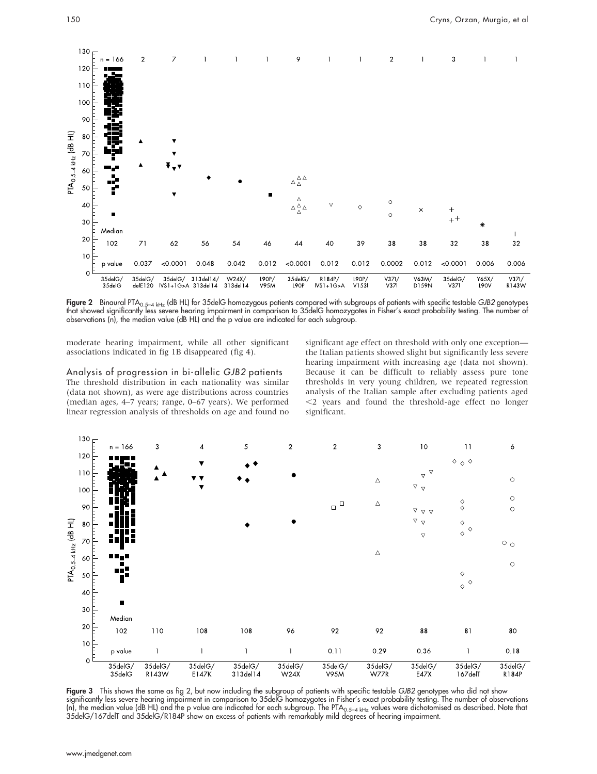

Figure 2 Binaural PTA<sub>0.5–4 kHz</sub> (dB HL) for 35delG homozygous patients compared with subgroups of patients with specific testable GJB2 genotypes that showed significantly less severe hearing impairment in comparison to 35delG homozygotes in Fisher's exact probability testing. The number of observations (n), the median value (dB HL) and the p value are indicated for each subgroup.

moderate hearing impairment, while all other significant associations indicated in fig 1B disappeared (fig 4).

Analysis of progression in bi-allelic GJB2 patients The threshold distribution in each nationality was similar (data not shown), as were age distributions across countries (median ages, 4–7 years; range, 0–67 years). We performed linear regression analysis of thresholds on age and found no

significant age effect on threshold with only one exception the Italian patients showed slight but significantly less severe hearing impairment with increasing age (data not shown). Because it can be difficult to reliably assess pure tone thresholds in very young children, we repeated regression analysis of the Italian sample after excluding patients aged  $<$ 2 years and found the threshold-age effect no longer significant.



Figure 3 This shows the same as fig 2, but now including the subgroup of patients with specific testable GJB2 genotypes who did not show significantly less severe hearing impairment in comparison to 35delG homozygotes in Fisher's exact probability testing. The number of observations (n), the median value (dB HL) and the p value are indicated for each subgroup. The PTA<sub>0.5–4 kHz</sub> values were dichotomised as described. Note that 35delG/167delT and 35delG/R184P show an excess of patients with remarkably mild degrees of hearing impairment.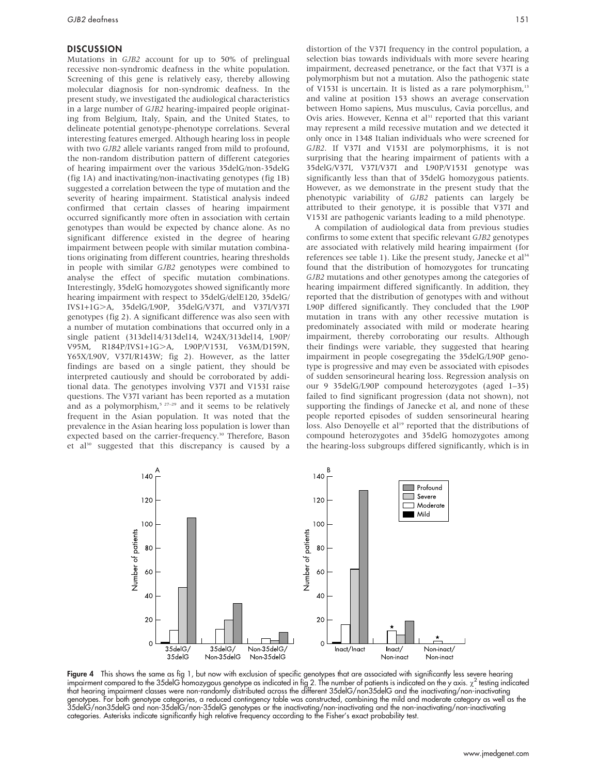#### **DISCUSSION**

Mutations in GJB2 account for up to 50% of prelingual recessive non-syndromic deafness in the white population. Screening of this gene is relatively easy, thereby allowing molecular diagnosis for non-syndromic deafness. In the present study, we investigated the audiological characteristics in a large number of GJB2 hearing-impaired people originating from Belgium, Italy, Spain, and the United States, to delineate potential genotype-phenotype correlations. Several interesting features emerged. Although hearing loss in people with two GJB2 allele variants ranged from mild to profound, the non-random distribution pattern of different categories of hearing impairment over the various 35delG/non-35delG (fig 1A) and inactivating/non-inactivating genotypes (fig 1B) suggested a correlation between the type of mutation and the severity of hearing impairment. Statistical analysis indeed confirmed that certain classes of hearing impairment occurred significantly more often in association with certain genotypes than would be expected by chance alone. As no significant difference existed in the degree of hearing impairment between people with similar mutation combinations originating from different countries, hearing thresholds in people with similar GJB2 genotypes were combined to analyse the effect of specific mutation combinations. Interestingly, 35delG homozygotes showed significantly more hearing impairment with respect to 35delG/delE120, 35delG/ IVS1+1G.A, 35delG/L90P, 35delG/V37I, and V37I/V37I genotypes (fig 2). A significant difference was also seen with a number of mutation combinations that occurred only in a single patient (313del14/313del14, W24X/313del14, L90P/ V95M, R184P/IVS1+1G>A, L90P/V153I, V63M/D159N, Y65X/L90V, V37I/R143W; fig 2). However, as the latter findings are based on a single patient, they should be interpreted cautiously and should be corroborated by additional data. The genotypes involving V37I and V153I raise questions. The V37I variant has been reported as a mutation and as a polymorphism,<sup>5 27-29</sup> and it seems to be relatively frequent in the Asian population. It was noted that the prevalence in the Asian hearing loss population is lower than expected based on the carrier-frequency.<sup>30</sup> Therefore, Bason et al<sup>30</sup> suggested that this discrepancy is caused by a distortion of the V37I frequency in the control population, a selection bias towards individuals with more severe hearing impairment, decreased penetrance, or the fact that V37I is a polymorphism but not a mutation. Also the pathogenic state of V153I is uncertain. It is listed as a rare polymorphism,<sup>13</sup> and valine at position 153 shows an average conservation between Homo sapiens, Mus musculus, Cavia porcellus, and Ovis aries. However, Kenna et al<sup>31</sup> reported that this variant may represent a mild recessive mutation and we detected it only once in 1348 Italian individuals who were screened for GJB2. If V37I and V153I are polymorphisms, it is not surprising that the hearing impairment of patients with a 35delG/V37I, V37I/V37I and L90P/V153I genotype was significantly less than that of 35delG homozygous patients. However, as we demonstrate in the present study that the phenotypic variability of GJB2 patients can largely be attributed to their genotype, it is possible that V37I and V153I are pathogenic variants leading to a mild phenotype.

A compilation of audiological data from previous studies confirms to some extent that specific relevant GJB2 genotypes are associated with relatively mild hearing impairment (for references see table 1). Like the present study, Janecke et al<sup>34</sup> found that the distribution of homozygotes for truncating GJB2 mutations and other genotypes among the categories of hearing impairment differed significantly. In addition, they reported that the distribution of genotypes with and without L90P differed significantly. They concluded that the L90P mutation in trans with any other recessive mutation is predominately associated with mild or moderate hearing impairment, thereby corroborating our results. Although their findings were variable, they suggested that hearing impairment in people cosegregating the 35delG/L90P genotype is progressive and may even be associated with episodes of sudden sensorineural hearing loss. Regression analysis on our 9 35delG/L90P compound heterozygotes (aged 1–35) failed to find significant progression (data not shown), not supporting the findings of Janecke et al, and none of these people reported episodes of sudden sensorineural hearing loss. Also Denoyelle et al<sup>19</sup> reported that the distributions of compound heterozygotes and 35delG homozygotes among the hearing-loss subgroups differed significantly, which is in



Figure 4 This shows the same as fig 1, but now with exclusion of specific genotypes that are associated with significantly less severe hearing impairment compared to the 35delG homozygous genotype as indicated in fig 2. The number of patients is indicated on the y axis.  $\chi^2$  testing indicated that hearing impairment classes were non-randomly distributed across the different 35delG/non35delG and the inactivating/non-inactivating genotypes. For both genotype categories, a reduced contingency table was constructed, combining the mild and moderate category as well as the 35delG/non35delG and non-35delG/non-35delG genotypes or the inactivating/non-inactivating and the non-inactivating/non-inactivating categories. Asterisks indicate significantly high relative frequency according to the Fisher's exact probability test.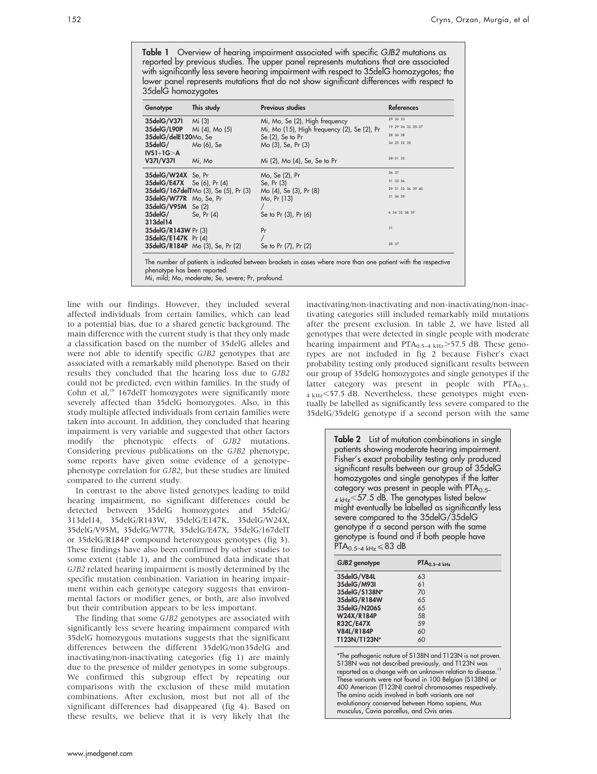Table 1 Overview of hearing impairment associated with specific GJB2 mutations as reported by previous studies. The upper panel represents mutations that are associated with significantly less severe hearing impairment with respect to 35delG homozygotes; the lower panel represents mutations that do not show significant differences with respect to 35delG homozygotes

| Genotype                          | This study                                   | <b>Previous studies</b>                                                                                       | <b>References</b> |
|-----------------------------------|----------------------------------------------|---------------------------------------------------------------------------------------------------------------|-------------------|
| 35delG/V371                       | Mi (3)                                       | Mi, Mo, Se (2), High frequency                                                                                | 29 32 33          |
| 35delG/L90P Mi (4), Mo (5)        |                                              | Mi, Mo (15), High frequency (2), Se (2), Pr                                                                   | 19 29 34 32 35-37 |
| 35delG/delE120Mo, Se              |                                              | Se $(2)$ , Se to Pr                                                                                           | 28 36 38          |
| <b>35delG/</b> Mo (6), Se         |                                              | Mo (3), Se, Pr (3)                                                                                            | 34 25 32 35       |
| $IVS1+1G > A$                     |                                              |                                                                                                               |                   |
| V37I/V37I                         | Mi, Mo                                       | Mi (2), Mo (4), Se, Se to Pr                                                                                  | 28-31 32          |
| 35delG/W24X Se, Pr                |                                              | Mo, Se (2), Pr                                                                                                | 36 37             |
| <b>35delG/E47X</b> Se (6), Pr (4) |                                              | Se, Pr (3)                                                                                                    | 31 32 36          |
|                                   | <b>35delG/167delT</b> Mo (3), Se (5), Pr (3) | Mo (4), Se (3), Pr (8)                                                                                        | 29 31 32 36 39 40 |
| 35delG/W77R Mo, Se, Pr            |                                              | Mo. Pr (13)                                                                                                   | 31 36 39          |
| 35delG/V95M Se (2)                |                                              |                                                                                                               |                   |
| $35$ del $G/$ Se, Pr $(4)$        |                                              | Se to Pr (3), Pr (6)                                                                                          | 6 34 32 38 39     |
| 313del14                          |                                              |                                                                                                               |                   |
| 35delG/R143W Pr (3)               |                                              | Pr                                                                                                            | 31                |
| 35delG/E147K Pr (4)               |                                              |                                                                                                               |                   |
|                                   | 35delG/R184P Mo (3), Se, Pr (2)              | Se to Pr (7), Pr (2)                                                                                          | 28 37             |
|                                   |                                              | The number of patients is indicated between brackets in cases where more than one patient with the respective |                   |

The number of patients is indicated between brackets in cases where more than one patient with the respective phenotype has been reported.

Mi, mild; Mo, moderate; Se, severe; Pr, profound.

line with our findings. However, they included several affected individuals from certain families, which can lead to a potential bias, due to a shared genetic background. The main difference with the current study is that they only made a classification based on the number of 35delG alleles and were not able to identify specific GJB2 genotypes that are associated with a remarkably mild phenotype. Based on their results they concluded that the hearing loss due to GJB2 could not be predicted, even within families. In the study of Cohn et al,<sup>18</sup> 167delT homozygotes were significantly more severely affected than 35delG homozygotes. Also, in this study multiple affected individuals from certain families were taken into account. In addition, they concluded that hearing impairment is very variable and suggested that other factors modify the phenotypic effects of GJB2 mutations. Considering previous publications on the GJB2 phenotype, some reports have given some evidence of a genotypephenotype correlation for GJB2, but these studies are limited compared to the current study.

In contrast to the above listed genotypes leading to mild hearing impairment, no significant differences could be detected between 35delG homozygotes and 35delG/ 313del14, 35delG/R143W, 35delG/E147K, 35delG/W24X, 35delG/V95M, 35delG/W77R, 35delG/E47X, 35delG/167delT or 35delG/R184P compound heterozygous genotypes (fig 3). These findings have also been confirmed by other studies to some extent (table 1), and the combined data indicate that GJB2 related hearing impairment is mostly determined by the specific mutation combination. Variation in hearing impairment within each genotype category suggests that environmental factors or modifier genes, or both, are also involved but their contribution appears to be less important.

The finding that some GJB2 genotypes are associated with significantly less severe hearing impairment compared with 35delG homozygous mutations suggests that the significant differences between the different 35delG/non35delG and inactivating/non-inactivating categories (fig 1) are mainly due to the presence of milder genotypes in some subgroups. We confirmed this subgroup effect by repeating our comparisons with the exclusion of these mild mutation combinations. After exclusion, most but not all of the significant differences had disappeared (fig 4). Based on these results, we believe that it is very likely that the inactivating/non-inactivating and non-inactivating/non-inactivating categories still included remarkably mild mutations after the present exclusion. In table 2, we have listed all genotypes that were detected in single people with moderate hearing impairment and  $PTA<sub>0.5-4 kHz</sub>>57.5 dB$ . These genotypes are not included in fig 2 because Fisher's exact probability testing only produced significant results between our group of 35delG homozygotes and single genotypes if the latter category was present in people with  $PTA<sub>0.5–</sub>$  $_{4 \text{ kHz}}$ <57.5 dB. Nevertheless, these genotypes might eventually be labelled as significantly less severe compared to the 35delG/35delG genotype if a second person with the same

> Table 2 List of mutation combinations in single patients showing moderate hearing impairment. Fisher's exact probability testing only produced significant results between our group of 35delG homozygotes and single genotypes if the latter category was present in people with  $PTA<sub>0.5–</sub>$  $_4$  kHz  $<$  57.5 dB. The genotypes listed below might eventually be labelled as significantly less severe compared to the 35delG/35delG genotype if a second person with the same genotype is tound and it both people have<br>PTA<sub>0.5−4 kHz</sub>≤83 dB

| GJB2 genotype     | PIA <sub>0.5–4 kHz</sub> |
|-------------------|--------------------------|
| 35delG/V84L       | 63                       |
| 35delG/M93I       | 61                       |
| 35delG/S138N*     | 70                       |
| 35delG/R184W      | 65                       |
| 35delG/N206S      | 65                       |
| W24X/R184P        | 58                       |
| <b>R32C/E47X</b>  | 59                       |
| <b>V84L/R184P</b> | 60                       |
| T123N/T123N*      | 60                       |

\*The pathogenic nature of S138N and T123N is not proven. S138N was not described previously, and T123N was reported as a change with an unknown relation to disease.<sup>13</sup> These variants were not found in 100 Belgian (S138N) or 400 American (T123N) control chromosomes respectively. The amino acids involved in both variants are not evolutionary conserved between Homo sapiens, Mus musculus, Cavia porcellus, and Ovis aries.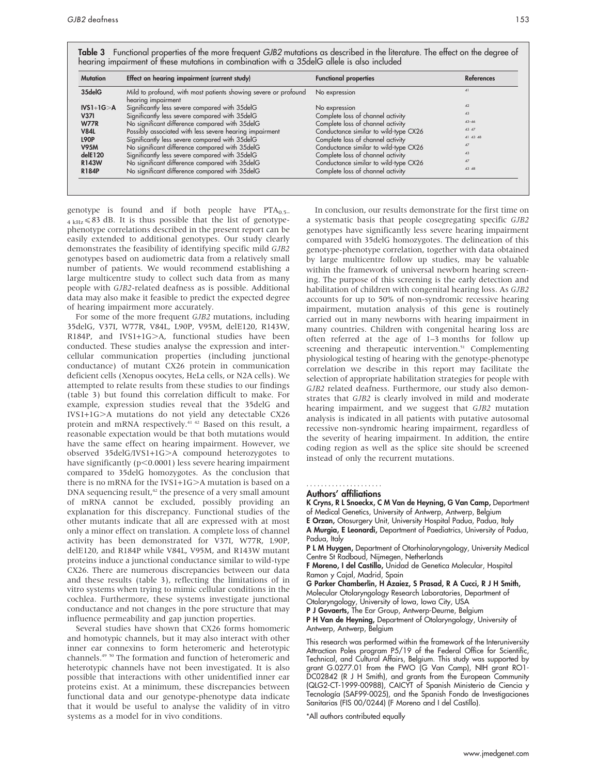| <b>Mutation</b><br>Effect on hearing impairment (current study) |                                                                                       | <b>Functional properties</b>          | <b>References</b> |
|-----------------------------------------------------------------|---------------------------------------------------------------------------------------|---------------------------------------|-------------------|
| 35delG                                                          | Mild to profound, with most patients showing severe or profound<br>hearing impairment | No expression                         |                   |
| $IVS1+1G > A$                                                   | Significantly less severe compared with 35delG                                        | No expression                         | 42                |
| <b>V371</b>                                                     | Significantly less severe compared with 35delG                                        | Complete loss of channel activity     | 43                |
| <b>W77R</b>                                                     | No significant difference compared with 35delG                                        | Complete loss of channel activity     | $43 - 46$         |
| <b>V84L</b>                                                     | Possibly associated with less severe hearing impairment                               | Conductance similar to wild-type CX26 | 43 47             |
| <b>L90P</b>                                                     | Significantly less severe compared with 35delG                                        | Complete loss of channel activity     | 41 43 48          |
| <b>V95M</b>                                                     | No significant difference compared with 35delG                                        | Conductance similar to wild-type CX26 | 47                |
| delE120                                                         | Significantly less severe compared with 35delG                                        | Complete loss of channel activity     | 43                |
| <b>R143W</b>                                                    | No significant difference compared with 35delG                                        | Conductance similar to wild-type CX26 | 47                |
| <b>R184P</b>                                                    | No significant difference compared with 35delG                                        | Complete loss of channel activity     | 43 48             |

genotype is found and if both people have  $PTA<sub>0.5–</sub>$  $_{4 \text{ kHz}}$   $\leq$  83 dB. It is thus possible that the list of genotypephenotype correlations described in the present report can be easily extended to additional genotypes. Our study clearly demonstrates the feasibility of identifying specific mild GJB2 genotypes based on audiometric data from a relatively small number of patients. We would recommend establishing a large multicentre study to collect such data from as many people with GJB2-related deafness as is possible. Additional data may also make it feasible to predict the expected degree of hearing impairment more accurately.

For some of the more frequent GJB2 mutations, including 35delG, V37I, W77R, V84L, L90P, V95M, delE120, R143W, R184P, and IVS1+1G>A, functional studies have been conducted. These studies analyse the expression and intercellular communication properties (including junctional conductance) of mutant CX26 protein in communication deficient cells (Xenopus oocytes, HeLa cells, or N2A cells). We attempted to relate results from these studies to our findings (table 3) but found this correlation difficult to make. For example, expression studies reveal that the 35delG and IVS1+1G.A mutations do not yield any detectable CX26 protein and mRNA respectively.<sup>41 42</sup> Based on this result, a reasonable expectation would be that both mutations would have the same effect on hearing impairment. However, we observed 35delG/IVS1+1G>A compound heterozygotes to have significantly ( $p<0.0001$ ) less severe hearing impairment compared to 35delG homozygotes. As the conclusion that there is no mRNA for the IVS1+1G $\geq$ A mutation is based on a  $DNA$  sequencing result, $42$  the presence of a very small amount of mRNA cannot be excluded, possibly providing an explanation for this discrepancy. Functional studies of the other mutants indicate that all are expressed with at most only a minor effect on translation. A complete loss of channel activity has been demonstrated for V37I, W77R, L90P, delE120, and R184P while V84L, V95M, and R143W mutant proteins induce a junctional conductance similar to wild-type CX26. There are numerous discrepancies between our data and these results (table 3), reflecting the limitations of in vitro systems when trying to mimic cellular conditions in the cochlea. Furthermore, these systems investigate junctional conductance and not changes in the pore structure that may influence permeability and gap junction properties.

Several studies have shown that CX26 forms homomeric and homotypic channels, but it may also interact with other inner ear connexins to form heteromeric and heterotypic channels.49 50 The formation and function of heteromeric and heterotypic channels have not been investigated. It is also possible that interactions with other unidentified inner ear proteins exist. At a minimum, these discrepancies between functional data and our genotype-phenotype data indicate that it would be useful to analyse the validity of in vitro systems as a model for in vivo conditions.

In conclusion, our results demonstrate for the first time on a systematic basis that people cosegregating specific GJB2 genotypes have significantly less severe hearing impairment compared with 35delG homozygotes. The delineation of this genotype-phenotype correlation, together with data obtained by large multicentre follow up studies, may be valuable within the framework of universal newborn hearing screening. The purpose of this screening is the early detection and habilitation of children with congenital hearing loss. As GJB2 accounts for up to 50% of non-syndromic recessive hearing impairment, mutation analysis of this gene is routinely carried out in many newborns with hearing impairment in many countries. Children with congenital hearing loss are often referred at the age of 1–3 months for follow up screening and therapeutic intervention.<sup>51</sup> Complementing physiological testing of hearing with the genotype-phenotype correlation we describe in this report may facilitate the selection of appropriate habilitation strategies for people with GJB2 related deafness. Furthermore, our study also demonstrates that GJB2 is clearly involved in mild and moderate hearing impairment, and we suggest that GJB2 mutation analysis is indicated in all patients with putative autosomal recessive non-syndromic hearing impairment, regardless of the severity of hearing impairment. In addition, the entire coding region as well as the splice site should be screened instead of only the recurrent mutations.

#### Authors' affiliations .....................

K Cryns, R L Snoeckx, C M Van de Heyning, G Van Camp, Department of Medical Genetics, University of Antwerp, Antwerp, Belgium

E Orzan, Otosurgery Unit, University Hospital Padua, Padua, Italy

A Murgia, E Leonardi, Department of Paediatrics, University of Padua, Padua, Italy

P L M Huygen, Department of Otorhinolaryngology, University Medical Centre St Radboud, Nijmegen, Netherlands

F Moreno, I del Castillo, Unidad de Genetica Molecular, Hospital Ramon y Cajal, Madrid, Spain

G Parker Chamberlin, H Azaiez, S Prasad, R A Cucci, R J H Smith, Molecular Otolaryngology Research Laboratories, Department of Otolaryngology, University of Iowa, Iowa City, USA

P J Govaerts, The Ear Group, Antwerp-Deurne, Belgium

P H Van de Heyning, Department of Otolaryngology, University of Antwerp, Antwerp, Belgium

This research was performed within the framework of the Interuniversity Attraction Poles program P5/19 of the Federal Office for Scientific, Technical, and Cultural Affairs, Belgium. This study was supported by grant G.0277.01 from the FWO (G Van Camp), NIH grant RO1- DC02842 (R J H Smith), and grants from the European Community (QLG2-CT-1999-00988), CAICYT of Spanish Ministerio de Ciencia y Tecnología (SAF99-0025), and the Spanish Fondo de Investigaciones Sanitarias (FIS 00/0244) (F Moreno and I del Castillo).

\*All authors contributed equally